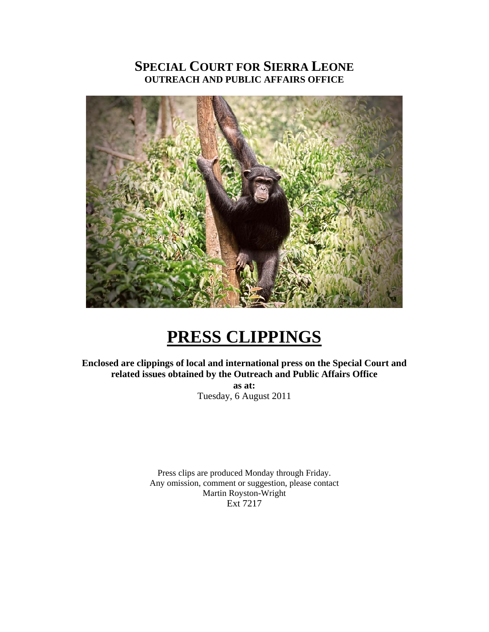# **SPECIAL COURT FOR SIERRA LEONE OUTREACH AND PUBLIC AFFAIRS OFFICE**



# **PRESS CLIPPINGS**

**Enclosed are clippings of local and international press on the Special Court and related issues obtained by the Outreach and Public Affairs Office as at:** 

Tuesday, 6 August 2011

Press clips are produced Monday through Friday. Any omission, comment or suggestion, please contact Martin Royston-Wright Ext 7217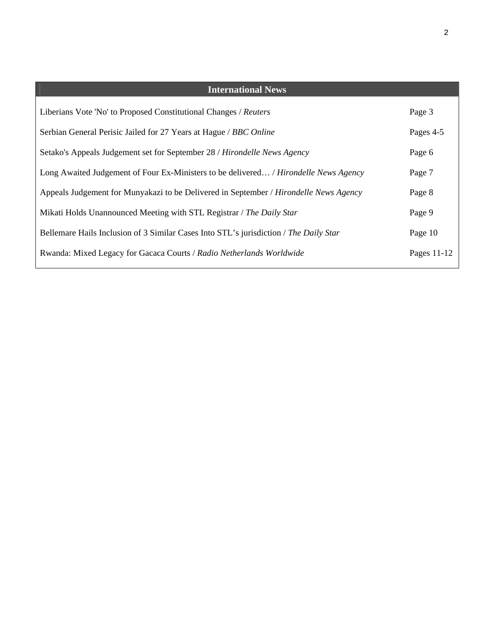| <b>International News</b>                                                             |             |
|---------------------------------------------------------------------------------------|-------------|
| Liberians Vote 'No' to Proposed Constitutional Changes / Reuters                      | Page 3      |
| Serbian General Perisic Jailed for 27 Years at Hague / BBC Online                     | Pages 4-5   |
| Setako's Appeals Judgement set for September 28 / Hirondelle News Agency              | Page 6      |
| Long Awaited Judgement of Four Ex-Ministers to be delivered / Hirondelle News Agency  | Page 7      |
| Appeals Judgement for Munyakazi to be Delivered in September / Hirondelle News Agency | Page 8      |
| Mikati Holds Unannounced Meeting with STL Registrar / The Daily Star                  | Page 9      |
| Bellemare Hails Inclusion of 3 Similar Cases Into STL's jurisdiction / The Daily Star | Page 10     |
| Rwanda: Mixed Legacy for Gacaca Courts / Radio Netherlands Worldwide                  | Pages 11-12 |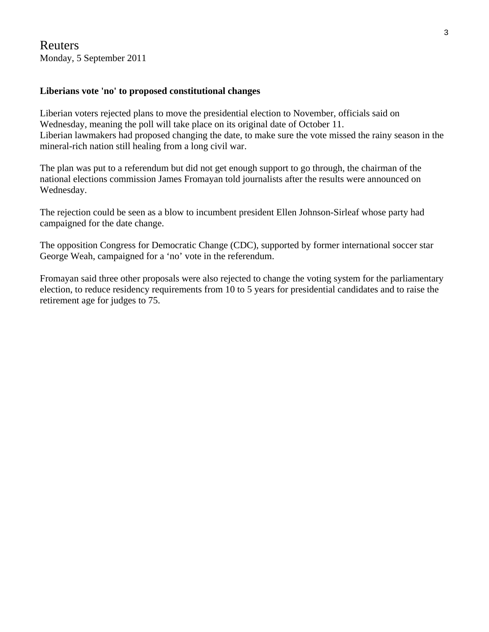## Reuters Monday, 5 September 2011

## **Liberians vote 'no' to proposed constitutional changes**

Liberian voters rejected plans to move the presidential election to November, officials said on Wednesday, meaning the poll will take place on its original date of October 11. Liberian lawmakers had proposed changing the date, to make sure the vote missed the rainy season in the mineral-rich nation still healing from a long civil war.

The plan was put to a referendum but did not get enough support to go through, the chairman of the national elections commission James Fromayan told journalists after the results were announced on Wednesday.

The rejection could be seen as a blow to incumbent president Ellen Johnson-Sirleaf whose party had campaigned for the date change.

The opposition Congress for Democratic Change (CDC), supported by former international soccer star George Weah, campaigned for a 'no' vote in the referendum.

Fromayan said three other proposals were also rejected to change the voting system for the parliamentary election, to reduce residency requirements from 10 to 5 years for presidential candidates and to raise the retirement age for judges to 75.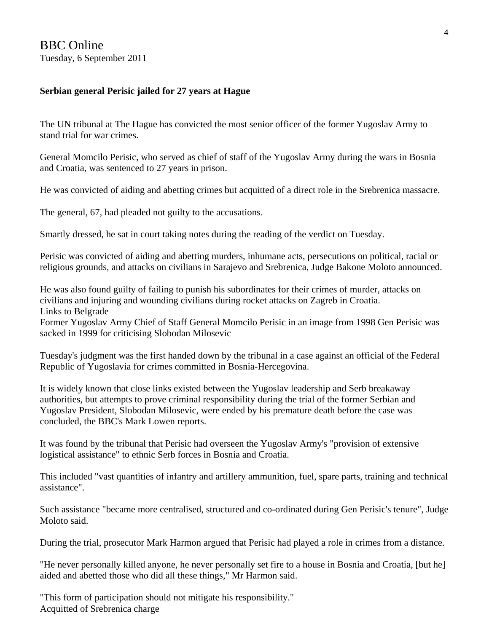## **Serbian general Perisic jailed for 27 years at Hague**

The UN tribunal at The Hague has convicted the most senior officer of the former Yugoslav Army to stand trial for war crimes.

General Momcilo Perisic, who served as chief of staff of the Yugoslav Army during the wars in Bosnia and Croatia, was sentenced to 27 years in prison.

He was convicted of aiding and abetting crimes but acquitted of a direct role in the Srebrenica massacre.

The general, 67, had pleaded not guilty to the accusations.

Smartly dressed, he sat in court taking notes during the reading of the verdict on Tuesday.

Perisic was convicted of aiding and abetting murders, inhumane acts, persecutions on political, racial or religious grounds, and attacks on civilians in Sarajevo and Srebrenica, Judge Bakone Moloto announced.

He was also found guilty of failing to punish his subordinates for their crimes of murder, attacks on civilians and injuring and wounding civilians during rocket attacks on Zagreb in Croatia. Links to Belgrade

Former Yugoslav Army Chief of Staff General Momcilo Perisic in an image from 1998 Gen Perisic was sacked in 1999 for criticising Slobodan Milosevic

Tuesday's judgment was the first handed down by the tribunal in a case against an official of the Federal Republic of Yugoslavia for crimes committed in Bosnia-Hercegovina.

It is widely known that close links existed between the Yugoslav leadership and Serb breakaway authorities, but attempts to prove criminal responsibility during the trial of the former Serbian and Yugoslav President, Slobodan Milosevic, were ended by his premature death before the case was concluded, the BBC's Mark Lowen reports.

It was found by the tribunal that Perisic had overseen the Yugoslav Army's "provision of extensive logistical assistance" to ethnic Serb forces in Bosnia and Croatia.

This included "vast quantities of infantry and artillery ammunition, fuel, spare parts, training and technical assistance".

Such assistance "became more centralised, structured and co-ordinated during Gen Perisic's tenure", Judge Moloto said.

During the trial, prosecutor Mark Harmon argued that Perisic had played a role in crimes from a distance.

"He never personally killed anyone, he never personally set fire to a house in Bosnia and Croatia, [but he] aided and abetted those who did all these things," Mr Harmon said.

"This form of participation should not mitigate his responsibility." Acquitted of Srebrenica charge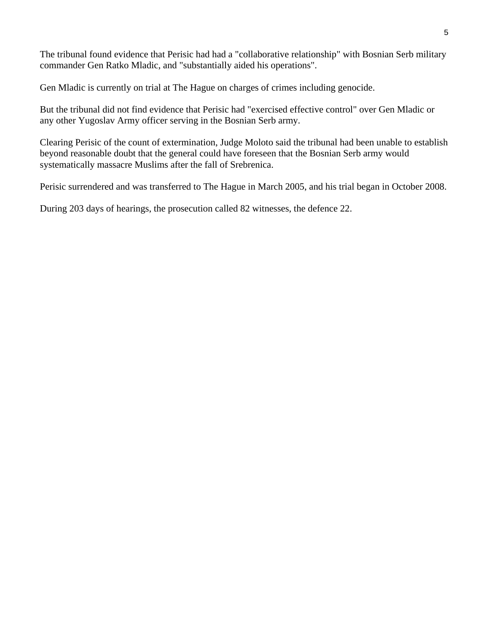The tribunal found evidence that Perisic had had a "collaborative relationship" with Bosnian Serb military commander Gen Ratko Mladic, and "substantially aided his operations".

Gen Mladic is currently on trial at The Hague on charges of crimes including genocide.

But the tribunal did not find evidence that Perisic had "exercised effective control" over Gen Mladic or any other Yugoslav Army officer serving in the Bosnian Serb army.

Clearing Perisic of the count of extermination, Judge Moloto said the tribunal had been unable to establish beyond reasonable doubt that the general could have foreseen that the Bosnian Serb army would systematically massacre Muslims after the fall of Srebrenica.

Perisic surrendered and was transferred to The Hague in March 2005, and his trial began in October 2008.

During 203 days of hearings, the prosecution called 82 witnesses, the defence 22.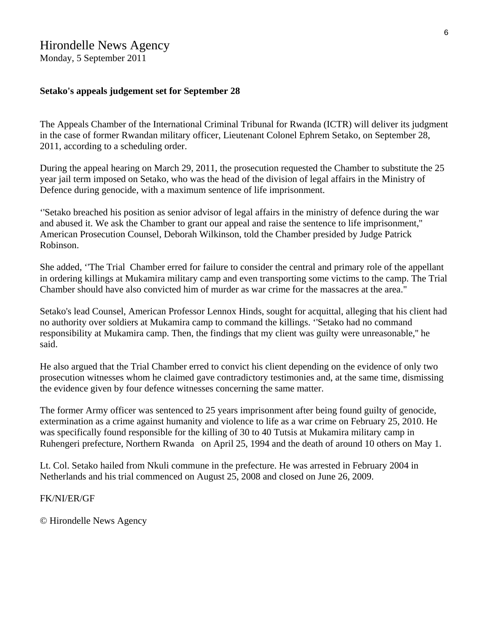# Hirondelle News Agency

Monday, 5 September 2011

### **Setako's appeals judgement set for September 28**

The Appeals Chamber of the International Criminal Tribunal for Rwanda (ICTR) will deliver its judgment in the case of former Rwandan military officer, Lieutenant Colonel Ephrem Setako, on September 28, 2011, according to a scheduling order.

During the appeal hearing on March 29, 2011, the prosecution requested the Chamber to substitute the 25 year jail term imposed on Setako, who was the head of the division of legal affairs in the Ministry of Defence during genocide, with a maximum sentence of life imprisonment.

''Setako breached his position as senior advisor of legal affairs in the ministry of defence during the war and abused it. We ask the Chamber to grant our appeal and raise the sentence to life imprisonment,'' American Prosecution Counsel, Deborah Wilkinson, told the Chamber presided by Judge Patrick Robinson.

She added, ''The Trial Chamber erred for failure to consider the central and primary role of the appellant in ordering killings at Mukamira military camp and even transporting some victims to the camp. The Trial Chamber should have also convicted him of murder as war crime for the massacres at the area."

Setako's lead Counsel, American Professor Lennox Hinds, sought for acquittal, alleging that his client had no authority over soldiers at Mukamira camp to command the killings. ''Setako had no command responsibility at Mukamira camp. Then, the findings that my client was guilty were unreasonable,'' he said.

He also argued that the Trial Chamber erred to convict his client depending on the evidence of only two prosecution witnesses whom he claimed gave contradictory testimonies and, at the same time, dismissing the evidence given by four defence witnesses concerning the same matter.

The former Army officer was sentenced to 25 years imprisonment after being found guilty of genocide, extermination as a crime against humanity and violence to life as a war crime on February 25, 2010. He was specifically found responsible for the killing of 30 to 40 Tutsis at Mukamira military camp in Ruhengeri prefecture, Northern Rwanda on April 25, 1994 and the death of around 10 others on May 1.

Lt. Col. Setako hailed from Nkuli commune in the prefecture. He was arrested in February 2004 in Netherlands and his trial commenced on August 25, 2008 and closed on June 26, 2009.

### FK/NI/ER/GF

© Hirondelle News Agency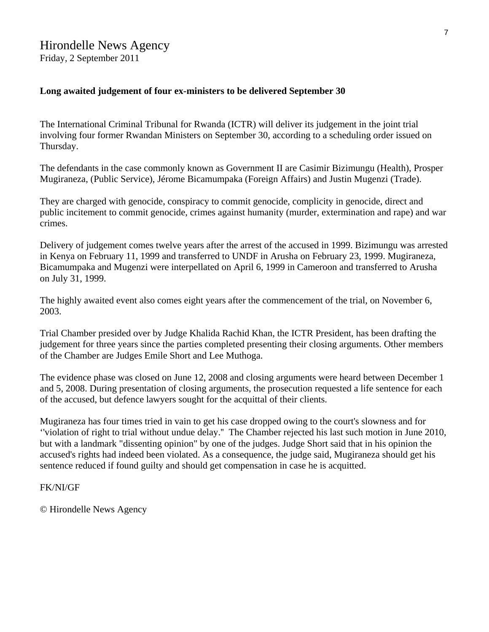### **Long awaited judgement of four ex-ministers to be delivered September 30**

The International Criminal Tribunal for Rwanda (ICTR) will deliver its judgement in the joint trial involving four former Rwandan Ministers on September 30, according to a scheduling order issued on Thursday.

The defendants in the case commonly known as Government II are Casimir Bizimungu (Health), Prosper Mugiraneza, (Public Service), Jérome Bicamumpaka (Foreign Affairs) and Justin Mugenzi (Trade).

They are charged with genocide, conspiracy to commit genocide, complicity in genocide, direct and public incitement to commit genocide, crimes against humanity (murder, extermination and rape) and war crimes.

Delivery of judgement comes twelve years after the arrest of the accused in 1999. Bizimungu was arrested in Kenya on February 11, 1999 and transferred to UNDF in Arusha on February 23, 1999. Mugiraneza, Bicamumpaka and Mugenzi were interpellated on April 6, 1999 in Cameroon and transferred to Arusha on July 31, 1999.

The highly awaited event also comes eight years after the commencement of the trial, on November 6, 2003.

Trial Chamber presided over by Judge Khalida Rachid Khan, the ICTR President, has been drafting the judgement for three years since the parties completed presenting their closing arguments. Other members of the Chamber are Judges Emile Short and Lee Muthoga.

The evidence phase was closed on June 12, 2008 and closing arguments were heard between December 1 and 5, 2008. During presentation of closing arguments, the prosecution requested a life sentence for each of the accused, but defence lawyers sought for the acquittal of their clients.

Mugiraneza has four times tried in vain to get his case dropped owing to the court's slowness and for ''violation of right to trial without undue delay.'' The Chamber rejected his last such motion in June 2010, but with a landmark "dissenting opinion" by one of the judges. Judge Short said that in his opinion the accused's rights had indeed been violated. As a consequence, the judge said, Mugiraneza should get his sentence reduced if found guilty and should get compensation in case he is acquitted.

### FK/NI/GF

© Hirondelle News Agency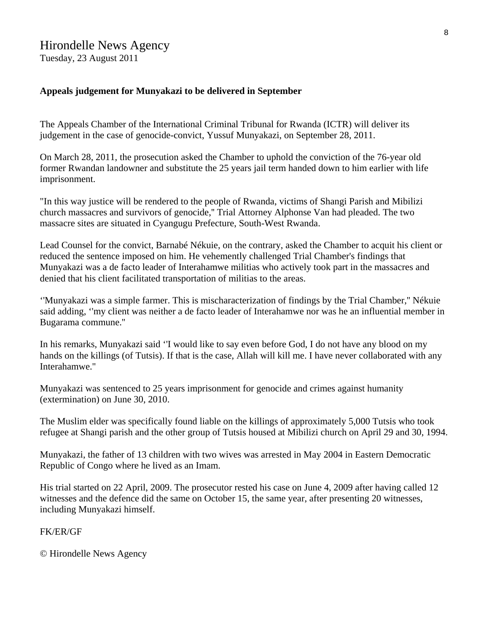# Hirondelle News Agency

Tuesday, 23 August 2011

## **Appeals judgement for Munyakazi to be delivered in September**

The Appeals Chamber of the International Criminal Tribunal for Rwanda (ICTR) will deliver its judgement in the case of genocide-convict, Yussuf Munyakazi, on September 28, 2011.

On March 28, 2011, the prosecution asked the Chamber to uphold the conviction of the 76-year old former Rwandan landowner and substitute the 25 years jail term handed down to him earlier with life imprisonment.

"In this way justice will be rendered to the people of Rwanda, victims of Shangi Parish and Mibilizi church massacres and survivors of genocide,'' Trial Attorney Alphonse Van had pleaded. The two massacre sites are situated in Cyangugu Prefecture, South-West Rwanda.

Lead Counsel for the convict, Barnabé Nékuie, on the contrary, asked the Chamber to acquit his client or reduced the sentence imposed on him. He vehemently challenged Trial Chamber's findings that Munyakazi was a de facto leader of Interahamwe militias who actively took part in the massacres and denied that his client facilitated transportation of militias to the areas.

''Munyakazi was a simple farmer. This is mischaracterization of findings by the Trial Chamber,'' Nékuie said adding, ''my client was neither a de facto leader of Interahamwe nor was he an influential member in Bugarama commune.''

In his remarks, Munyakazi said ''I would like to say even before God, I do not have any blood on my hands on the killings (of Tutsis). If that is the case, Allah will kill me. I have never collaborated with any Interahamwe.''

Munyakazi was sentenced to 25 years imprisonment for genocide and crimes against humanity (extermination) on June 30, 2010.

The Muslim elder was specifically found liable on the killings of approximately 5,000 Tutsis who took refugee at Shangi parish and the other group of Tutsis housed at Mibilizi church on April 29 and 30, 1994.

Munyakazi, the father of 13 children with two wives was arrested in May 2004 in Eastern Democratic Republic of Congo where he lived as an Imam.

His trial started on 22 April, 2009. The prosecutor rested his case on June 4, 2009 after having called 12 witnesses and the defence did the same on October 15, the same year, after presenting 20 witnesses, including Munyakazi himself.

FK/ER/GF

© Hirondelle News Agency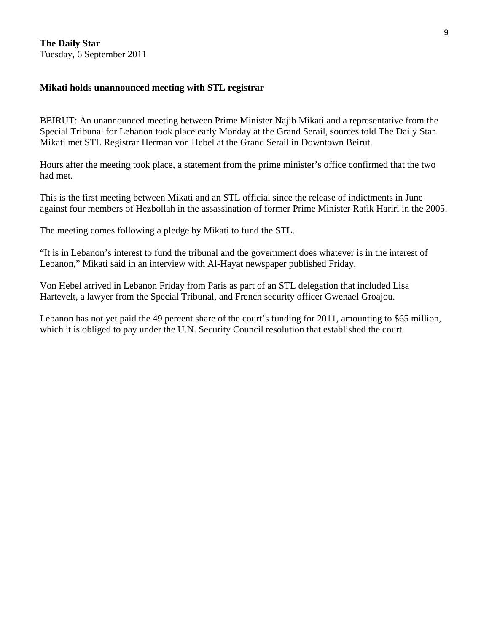**The Daily Star**  Tuesday, 6 September 2011

### **Mikati holds unannounced meeting with STL registrar**

BEIRUT: An unannounced meeting between Prime Minister Najib Mikati and a representative from the Special Tribunal for Lebanon took place early Monday at the Grand Serail, sources told The Daily Star. Mikati met STL Registrar Herman von Hebel at the Grand Serail in Downtown Beirut.

Hours after the meeting took place, a statement from the prime minister's office confirmed that the two had met.

This is the first meeting between Mikati and an STL official since the release of indictments in June against four members of Hezbollah in the assassination of former Prime Minister Rafik Hariri in the 2005.

The meeting comes following a pledge by Mikati to fund the STL.

"It is in Lebanon's interest to fund the tribunal and the government does whatever is in the interest of Lebanon," Mikati said in an interview with Al-Hayat newspaper published Friday.

Von Hebel arrived in Lebanon Friday from Paris as part of an STL delegation that included Lisa Hartevelt, a lawyer from the Special Tribunal, and French security officer Gwenael Groajou.

Lebanon has not yet paid the 49 percent share of the court's funding for 2011, amounting to \$65 million, which it is obliged to pay under the U.N. Security Council resolution that established the court.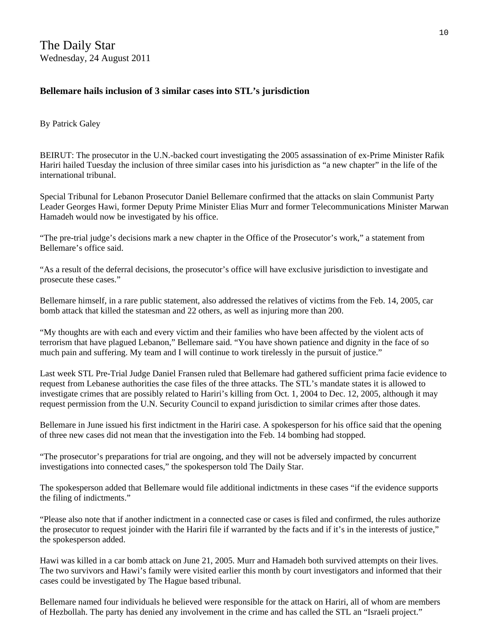The Daily Star Wednesday, 24 August 2011

## **Bellemare hails inclusion of 3 similar cases into STL's jurisdiction**

By Patrick Galey

BEIRUT: The prosecutor in the U.N.-backed court investigating the 2005 assassination of ex-Prime Minister Rafik Hariri hailed Tuesday the inclusion of three similar cases into his jurisdiction as "a new chapter" in the life of the international tribunal.

Special Tribunal for Lebanon Prosecutor Daniel Bellemare confirmed that the attacks on slain Communist Party Leader Georges Hawi, former Deputy Prime Minister Elias Murr and former Telecommunications Minister Marwan Hamadeh would now be investigated by his office.

"The pre-trial judge's decisions mark a new chapter in the Office of the Prosecutor's work," a statement from Bellemare's office said.

"As a result of the deferral decisions, the prosecutor's office will have exclusive jurisdiction to investigate and prosecute these cases."

Bellemare himself, in a rare public statement, also addressed the relatives of victims from the Feb. 14, 2005, car bomb attack that killed the statesman and 22 others, as well as injuring more than 200.

"My thoughts are with each and every victim and their families who have been affected by the violent acts of terrorism that have plagued Lebanon," Bellemare said. "You have shown patience and dignity in the face of so much pain and suffering. My team and I will continue to work tirelessly in the pursuit of justice."

Last week STL Pre-Trial Judge Daniel Fransen ruled that Bellemare had gathered sufficient prima facie evidence to request from Lebanese authorities the case files of the three attacks. The STL's mandate states it is allowed to investigate crimes that are possibly related to Hariri's killing from Oct. 1, 2004 to Dec. 12, 2005, although it may request permission from the U.N. Security Council to expand jurisdiction to similar crimes after those dates.

Bellemare in June issued his first indictment in the Hariri case. A spokesperson for his office said that the opening of three new cases did not mean that the investigation into the Feb. 14 bombing had stopped.

"The prosecutor's preparations for trial are ongoing, and they will not be adversely impacted by concurrent investigations into connected cases," the spokesperson told The Daily Star.

The spokesperson added that Bellemare would file additional indictments in these cases "if the evidence supports the filing of indictments."

"Please also note that if another indictment in a connected case or cases is filed and confirmed, the rules authorize the prosecutor to request joinder with the Hariri file if warranted by the facts and if it's in the interests of justice," the spokesperson added.

Hawi was killed in a car bomb attack on June 21, 2005. Murr and Hamadeh both survived attempts on their lives. The two survivors and Hawi's family were visited earlier this month by court investigators and informed that their cases could be investigated by The Hague based tribunal.

Bellemare named four individuals he believed were responsible for the attack on Hariri, all of whom are members of Hezbollah. The party has denied any involvement in the crime and has called the STL an "Israeli project."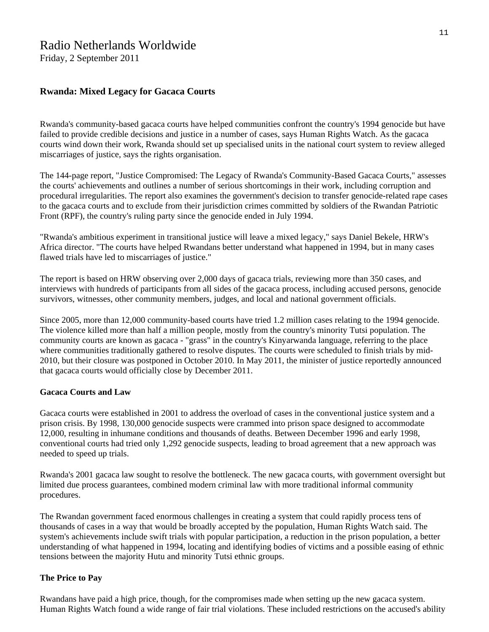# Radio Netherlands Worldwide

Friday, 2 September 2011

### **Rwanda: Mixed Legacy for Gacaca Courts**

Rwanda's community-based gacaca courts have helped communities confront the country's 1994 genocide but have failed to provide credible decisions and justice in a number of cases, says Human Rights Watch. As the gacaca courts wind down their work, Rwanda should set up specialised units in the national court system to review alleged miscarriages of justice, says the rights organisation.

The 144-page report, "Justice Compromised: The Legacy of Rwanda's Community-Based Gacaca Courts," assesses the courts' achievements and outlines a number of serious shortcomings in their work, including corruption and procedural irregularities. The report also examines the government's decision to transfer genocide-related rape cases to the gacaca courts and to exclude from their jurisdiction crimes committed by soldiers of the Rwandan Patriotic Front (RPF), the country's ruling party since the genocide ended in July 1994.

"Rwanda's ambitious experiment in transitional justice will leave a mixed legacy," says Daniel Bekele, HRW's Africa director. "The courts have helped Rwandans better understand what happened in 1994, but in many cases flawed trials have led to miscarriages of justice."

The report is based on HRW observing over 2,000 days of gacaca trials, reviewing more than 350 cases, and interviews with hundreds of participants from all sides of the gacaca process, including accused persons, genocide survivors, witnesses, other community members, judges, and local and national government officials.

Since 2005, more than 12,000 community-based courts have tried 1.2 million cases relating to the 1994 genocide. The violence killed more than half a million people, mostly from the country's minority Tutsi population. The community courts are known as gacaca - "grass" in the country's Kinyarwanda language, referring to the place where communities traditionally gathered to resolve disputes. The courts were scheduled to finish trials by mid-2010, but their closure was postponed in October 2010. In May 2011, the minister of justice reportedly announced that gacaca courts would officially close by December 2011.

#### **Gacaca Courts and Law**

Gacaca courts were established in 2001 to address the overload of cases in the conventional justice system and a prison crisis. By 1998, 130,000 genocide suspects were crammed into prison space designed to accommodate 12,000, resulting in inhumane conditions and thousands of deaths. Between December 1996 and early 1998, conventional courts had tried only 1,292 genocide suspects, leading to broad agreement that a new approach was needed to speed up trials.

Rwanda's 2001 gacaca law sought to resolve the bottleneck. The new gacaca courts, with government oversight but limited due process guarantees, combined modern criminal law with more traditional informal community procedures.

The Rwandan government faced enormous challenges in creating a system that could rapidly process tens of thousands of cases in a way that would be broadly accepted by the population, Human Rights Watch said. The system's achievements include swift trials with popular participation, a reduction in the prison population, a better understanding of what happened in 1994, locating and identifying bodies of victims and a possible easing of ethnic tensions between the majority Hutu and minority Tutsi ethnic groups.

#### **The Price to Pay**

Rwandans have paid a high price, though, for the compromises made when setting up the new gacaca system. Human Rights Watch found a wide range of fair trial violations. These included restrictions on the accused's ability